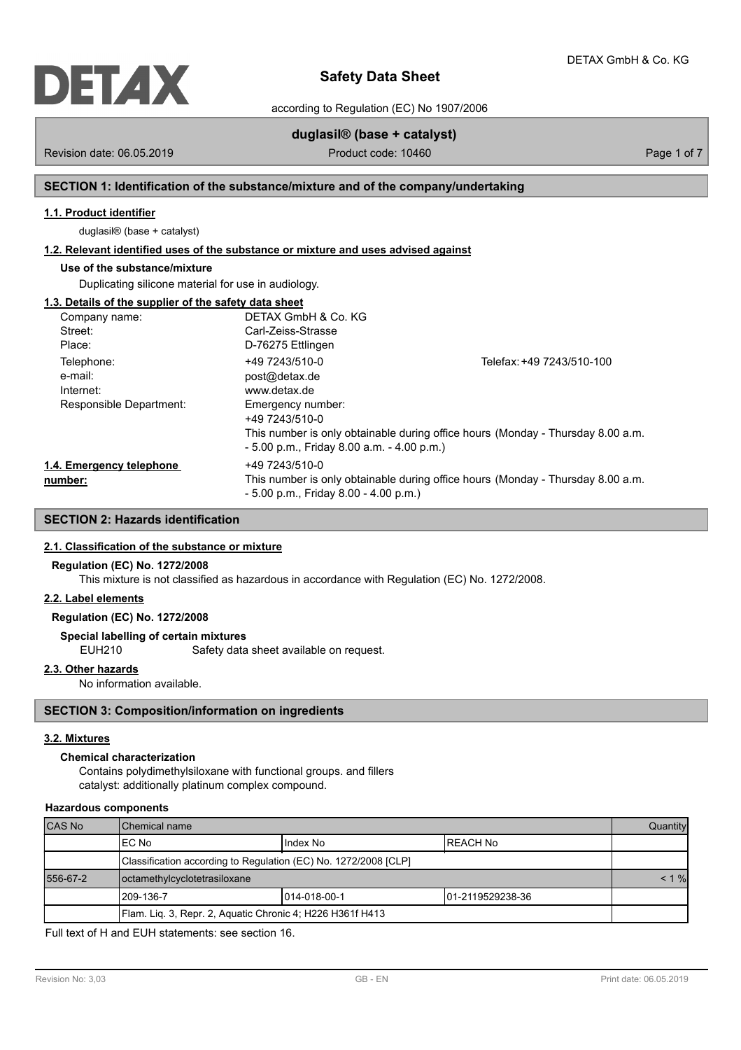

according to Regulation (EC) No 1907/2006

# **duglasil® (base + catalyst)**

Revision date: 06.05.2019 **Product code: 10460** Product code: 10460 **Page 1 of 7** Page 1 of 7

# **SECTION 1: Identification of the substance/mixture and of the company/undertaking**

# **1.1. Product identifier**

duglasil® (base + catalyst)

# **1.2. Relevant identified uses of the substance or mixture and uses advised against**

# **Use of the substance/mixture**

Duplicating silicone material for use in audiology.

# **1.3. Details of the supplier of the safety data sheet**

| Company name:            | DETAX GmbH & Co. KG                          |                                                                                 |
|--------------------------|----------------------------------------------|---------------------------------------------------------------------------------|
| Street:                  | Carl-Zeiss-Strasse                           |                                                                                 |
| Place:                   | D-76275 Ettlingen                            |                                                                                 |
| Telephone:               | +49 7243/510-0                               | Telefax: +49 7243/510-100                                                       |
| e-mail:                  | post@detax.de                                |                                                                                 |
| Internet:                | www.detax.de                                 |                                                                                 |
| Responsible Department:  | Emergency number:                            |                                                                                 |
|                          | +49 7243/510-0                               |                                                                                 |
|                          |                                              | This number is only obtainable during office hours (Monday - Thursday 8.00 a.m. |
|                          | $-5.00$ p.m., Friday 8.00 a.m. $-4.00$ p.m.) |                                                                                 |
| 1.4. Emergency telephone | +49 7243/510-0                               |                                                                                 |
| number:                  |                                              | This number is only obtainable during office hours (Monday - Thursday 8.00 a.m. |
|                          | $-5.00$ p.m., Friday 8.00 $-4.00$ p.m.)      |                                                                                 |

# **SECTION 2: Hazards identification**

### **2.1. Classification of the substance or mixture**

#### **Regulation (EC) No. 1272/2008**

This mixture is not classified as hazardous in accordance with Regulation (EC) No. 1272/2008.

# **2.2. Label elements**

# **Regulation (EC) No. 1272/2008**

### **Special labelling of certain mixtures**

EUH210 Safety data sheet available on request.

## **2.3. Other hazards**

No information available.

## **SECTION 3: Composition/information on ingredients**

### **3.2. Mixtures**

#### **Chemical characterization**

Contains polydimethylsiloxane with functional groups. and fillers catalyst: additionally platinum complex compound.

### **Hazardous components**

| <b>CAS No</b> | Chemical name                                                   |               |                   | Quantity |
|---------------|-----------------------------------------------------------------|---------------|-------------------|----------|
|               | IEC No                                                          | I Index No    | <b>IREACH No</b>  |          |
|               | Classification according to Regulation (EC) No. 1272/2008 [CLP] |               |                   |          |
| 556-67-2      | octamethylcyclotetrasiloxane                                    |               |                   | $< 1 \%$ |
|               | 1209-136-7                                                      | 1014-018-00-1 | 101-2119529238-36 |          |
|               | Flam. Lig. 3, Repr. 2, Aquatic Chronic 4; H226 H361f H413       |               |                   |          |

Full text of H and EUH statements: see section 16.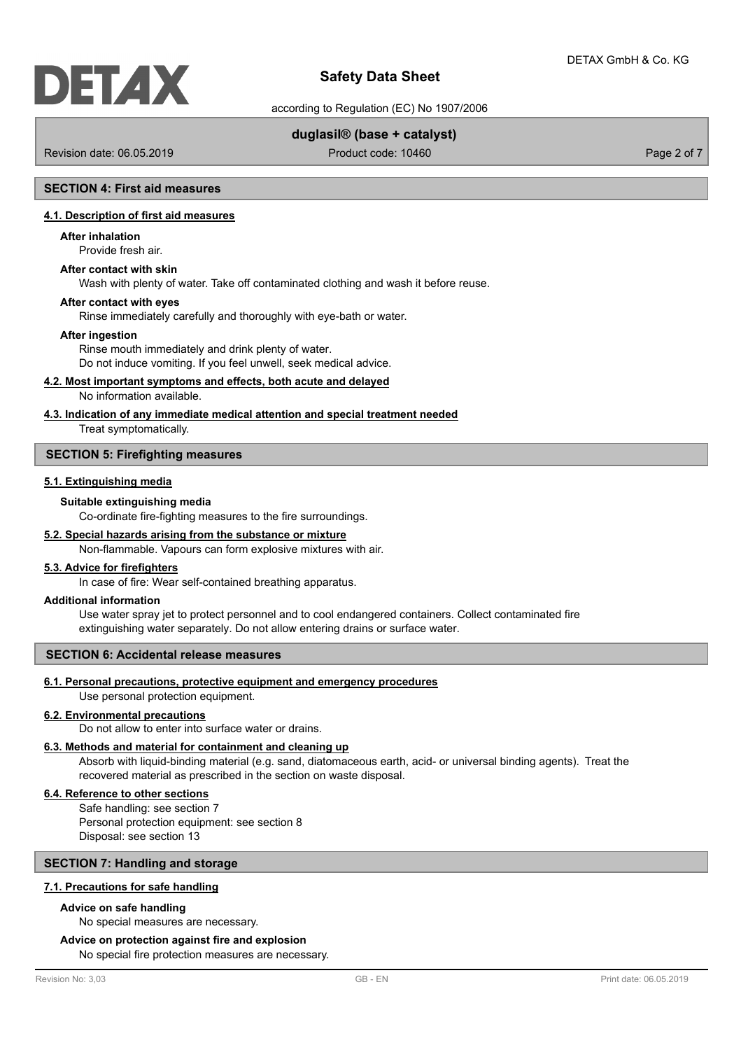according to Regulation (EC) No 1907/2006

# **duglasil® (base + catalyst)**

Revision date: 06.05.2019 Product code: 10460 Product code: 10460 Page 2 of 7

## **SECTION 4: First aid measures**

# **4.1. Description of first aid measures**

#### **After inhalation**

Provide fresh air.

### **After contact with skin**

Wash with plenty of water. Take off contaminated clothing and wash it before reuse.

#### **After contact with eyes**

Rinse immediately carefully and thoroughly with eye-bath or water.

#### **After ingestion**

Rinse mouth immediately and drink plenty of water. Do not induce vomiting. If you feel unwell, seek medical advice.

#### **4.2. Most important symptoms and effects, both acute and delayed**

No information available.

## **4.3. Indication of any immediate medical attention and special treatment needed**

Treat symptomatically.

#### **SECTION 5: Firefighting measures**

## **5.1. Extinguishing media**

#### **Suitable extinguishing media**

Co-ordinate fire-fighting measures to the fire surroundings.

#### **5.2. Special hazards arising from the substance or mixture**

Non-flammable. Vapours can form explosive mixtures with air.

## **5.3. Advice for firefighters**

In case of fire: Wear self-contained breathing apparatus.

#### **Additional information**

Use water spray jet to protect personnel and to cool endangered containers. Collect contaminated fire extinguishing water separately. Do not allow entering drains or surface water.

### **SECTION 6: Accidental release measures**

## **6.1. Personal precautions, protective equipment and emergency procedures**

Use personal protection equipment.

# **6.2. Environmental precautions**

Do not allow to enter into surface water or drains.

## **6.3. Methods and material for containment and cleaning up**

Absorb with liquid-binding material (e.g. sand, diatomaceous earth, acid- or universal binding agents). Treat the recovered material as prescribed in the section on waste disposal.

#### **6.4. Reference to other sections**

Safe handling: see section 7 Personal protection equipment: see section 8 Disposal: see section 13

# **SECTION 7: Handling and storage**

### **7.1. Precautions for safe handling**

# **Advice on safe handling**

No special measures are necessary.

### **Advice on protection against fire and explosion**

No special fire protection measures are necessary.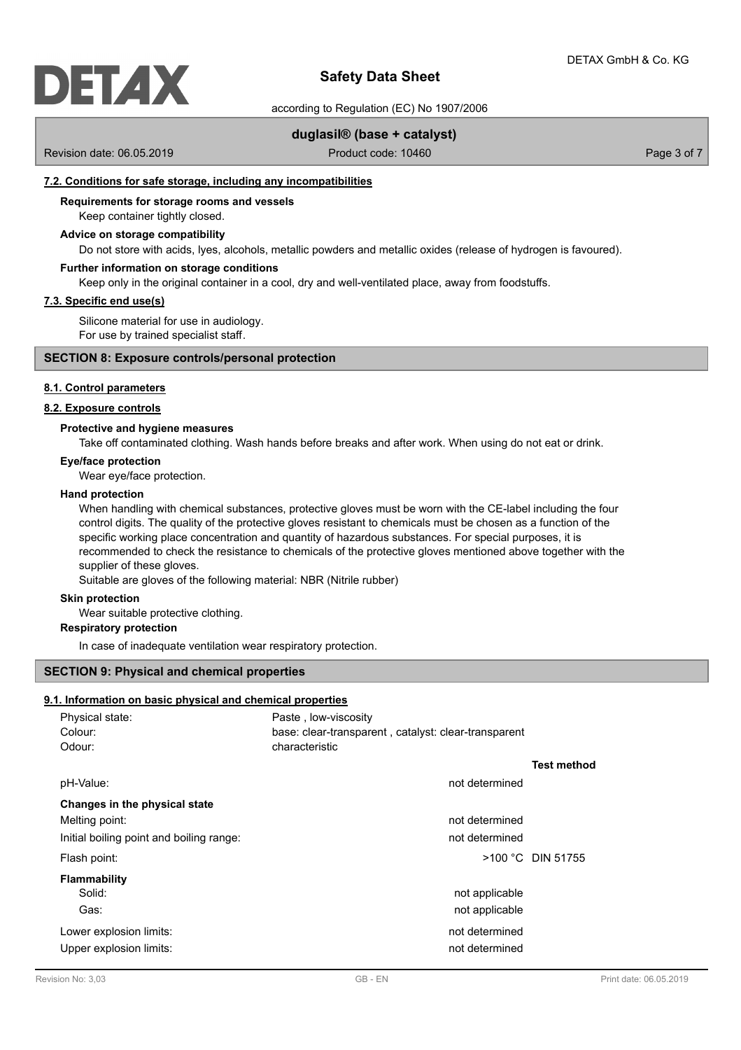

according to Regulation (EC) No 1907/2006

## **duglasil® (base + catalyst)**

Revision date: 06.05.2019 Product code: 10460 Product code: 10460 Page 3 of 7

### **7.2. Conditions for safe storage, including any incompatibilities**

# **Requirements for storage rooms and vessels**

# Keep container tightly closed.

# **Advice on storage compatibility**

Do not store with acids, lyes, alcohols, metallic powders and metallic oxides (release of hydrogen is favoured).

#### **Further information on storage conditions**

Keep only in the original container in a cool, dry and well-ventilated place, away from foodstuffs.

## **7.3. Specific end use(s)**

Silicone material for use in audiology. For use by trained specialist staff.

### **SECTION 8: Exposure controls/personal protection**

#### **8.1. Control parameters**

#### **8.2. Exposure controls**

#### **Protective and hygiene measures**

Take off contaminated clothing. Wash hands before breaks and after work. When using do not eat or drink.

### **Eye/face protection**

Wear eye/face protection.

#### **Hand protection**

When handling with chemical substances, protective gloves must be worn with the CE-label including the four control digits. The quality of the protective gloves resistant to chemicals must be chosen as a function of the specific working place concentration and quantity of hazardous substances. For special purposes, it is recommended to check the resistance to chemicals of the protective gloves mentioned above together with the supplier of these gloves.

Suitable are gloves of the following material: NBR (Nitrile rubber)

#### **Skin protection**

Wear suitable protective clothing.

## **Respiratory protection**

In case of inadequate ventilation wear respiratory protection.

#### **SECTION 9: Physical and chemical properties**

### **9.1. Information on basic physical and chemical properties**

| Colour:<br>base: clear-transparent, catalyst: clear-transparent |  |
|-----------------------------------------------------------------|--|
| characteristic<br>Odour:                                        |  |
| <b>Test method</b>                                              |  |
| pH-Value:<br>not determined                                     |  |
| Changes in the physical state                                   |  |
| Melting point:<br>not determined                                |  |
| Initial boiling point and boiling range:<br>not determined      |  |
| $>100$ °C DIN 51755<br>Flash point:                             |  |
| <b>Flammability</b>                                             |  |
| Solid:<br>not applicable                                        |  |
| Gas:<br>not applicable                                          |  |
| not determined<br>Lower explosion limits:                       |  |
| Upper explosion limits:<br>not determined                       |  |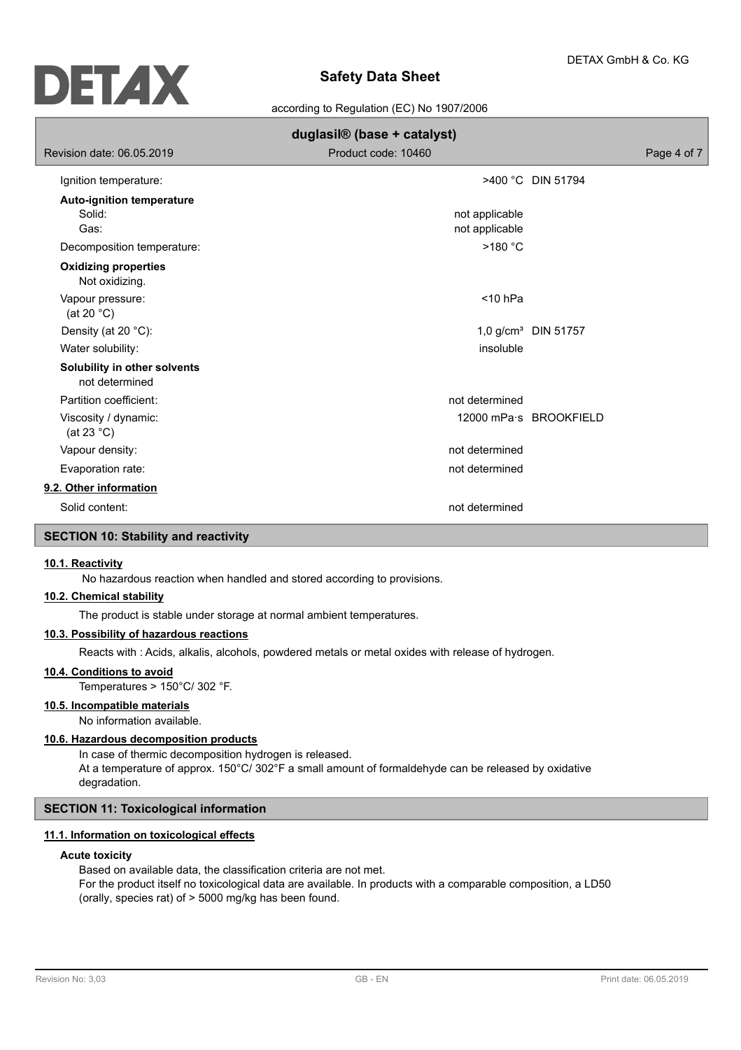

according to Regulation (EC) No 1907/2006

| duglasil® (base + catalyst)                        |                                  |                                 |  |  |
|----------------------------------------------------|----------------------------------|---------------------------------|--|--|
| Revision date: 06.05.2019                          | Product code: 10460              | Page 4 of 7                     |  |  |
| Ignition temperature:                              |                                  | >400 °C DIN 51794               |  |  |
| <b>Auto-ignition temperature</b><br>Solid:<br>Gas: | not applicable<br>not applicable |                                 |  |  |
| Decomposition temperature:                         | >180 °C                          |                                 |  |  |
| <b>Oxidizing properties</b><br>Not oxidizing.      |                                  |                                 |  |  |
| Vapour pressure:<br>(at 20 $^{\circ}$ C)           | $<$ 10 hPa                       |                                 |  |  |
| Density (at 20 °C):                                |                                  | 1,0 g/cm <sup>3</sup> DIN 51757 |  |  |
| Water solubility:                                  | insoluble                        |                                 |  |  |
| Solubility in other solvents<br>not determined     |                                  |                                 |  |  |
| Partition coefficient:                             | not determined                   |                                 |  |  |
| Viscosity / dynamic:<br>(at 23 $^{\circ}$ C)       |                                  | 12000 mPa · S BROOKFIELD        |  |  |
| Vapour density:                                    | not determined                   |                                 |  |  |
| Evaporation rate:                                  | not determined                   |                                 |  |  |
| 9.2. Other information                             |                                  |                                 |  |  |
| Solid content:                                     | not determined                   |                                 |  |  |
| <b>SECTION 10: Stability and reactivity</b>        |                                  |                                 |  |  |

#### **10.1. Reactivity**

No hazardous reaction when handled and stored according to provisions.

### **10.2. Chemical stability**

The product is stable under storage at normal ambient temperatures.

## **10.3. Possibility of hazardous reactions**

Reacts with : Acids, alkalis, alcohols, powdered metals or metal oxides with release of hydrogen.

#### **10.4. Conditions to avoid**

Temperatures > 150°C/ 302 °F.

# **10.5. Incompatible materials**

No information available.

# **10.6. Hazardous decomposition products**

In case of thermic decomposition hydrogen is released. At a temperature of approx. 150°C/ 302°F a small amount of formaldehyde can be released by oxidative degradation.

## **SECTION 11: Toxicological information**

## **11.1. Information on toxicological effects**

#### **Acute toxicity**

Based on available data, the classification criteria are not met. For the product itself no toxicological data are available. In products with a comparable composition, a LD50 (orally, species rat) of > 5000 mg/kg has been found.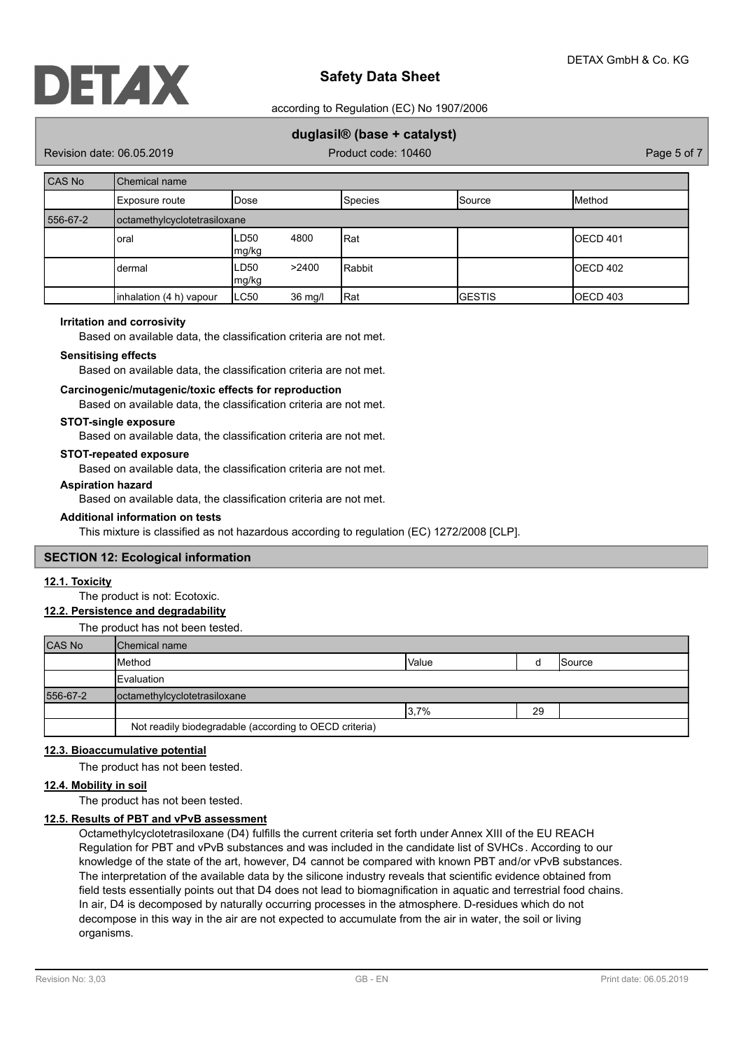

according to Regulation (EC) No 1907/2006

# **duglasil® (base + catalyst)**

Revision date: 06.05.2019 **Product code: 10460** Product code: 10460 Page 5 of 7

| <b>CAS No</b> | Chemical name                |               |         |                |                 |                 |
|---------------|------------------------------|---------------|---------|----------------|-----------------|-----------------|
|               | Exposure route               | Dose          |         | <b>Species</b> | <b>I</b> Source | <b>I</b> Method |
| 556-67-2      | octamethylcyclotetrasiloxane |               |         |                |                 |                 |
|               | oral                         | LD50<br>mg/kg | 4800    | Rat            |                 | IOECD 401       |
|               | dermal                       | LD50<br>mg/kg | >2400   | Rabbit         |                 | IOECD 402       |
|               | inhalation (4 h) vapour      | ∟C50          | 36 mg/l | Rat            | <b>I</b> GESTIS | OECD 403        |

#### **Irritation and corrosivity**

Based on available data, the classification criteria are not met.

#### **Sensitising effects**

Based on available data, the classification criteria are not met.

# **Carcinogenic/mutagenic/toxic effects for reproduction**

Based on available data, the classification criteria are not met.

#### **STOT-single exposure**

Based on available data, the classification criteria are not met.

#### **STOT-repeated exposure**

Based on available data, the classification criteria are not met.

### **Aspiration hazard**

Based on available data, the classification criteria are not met.

#### **Additional information on tests**

This mixture is classified as not hazardous according to regulation (EC) 1272/2008 [CLP].

#### **SECTION 12: Ecological information**

## **12.1. Toxicity**

The product is not: Ecotoxic.

#### **12.2. Persistence and degradability**

The product has not been tested.

| <b>CAS No</b> | <b>I</b> Chemical name                                 |              |    |                 |
|---------------|--------------------------------------------------------|--------------|----|-----------------|
|               | Method                                                 | <b>Value</b> |    | <b>I</b> Source |
|               | Evaluation                                             |              |    |                 |
| 556-67-2      | octamethylcyclotetrasiloxane                           |              |    |                 |
|               |                                                        | 3,7%         | 29 |                 |
|               | Not readily biodegradable (according to OECD criteria) |              |    |                 |

#### **12.3. Bioaccumulative potential**

The product has not been tested.

# **12.4. Mobility in soil**

The product has not been tested.

# **12.5. Results of PBT and vPvB assessment**

Octamethylcyclotetrasiloxane (D4) fulfills the current criteria set forth under Annex XIII of the EU REACH Regulation for PBT and vPvB substances and was included in the candidate list of SVHCs . According to our knowledge of the state of the art, however, D4 cannot be compared with known PBT and/or vPvB substances. The interpretation of the available data by the silicone industry reveals that scientific evidence obtained from field tests essentially points out that D4 does not lead to biomagnification in aquatic and terrestrial food chains. In air, D4 is decomposed by naturally occurring processes in the atmosphere. D-residues which do not decompose in this way in the air are not expected to accumulate from the air in water, the soil or living organisms.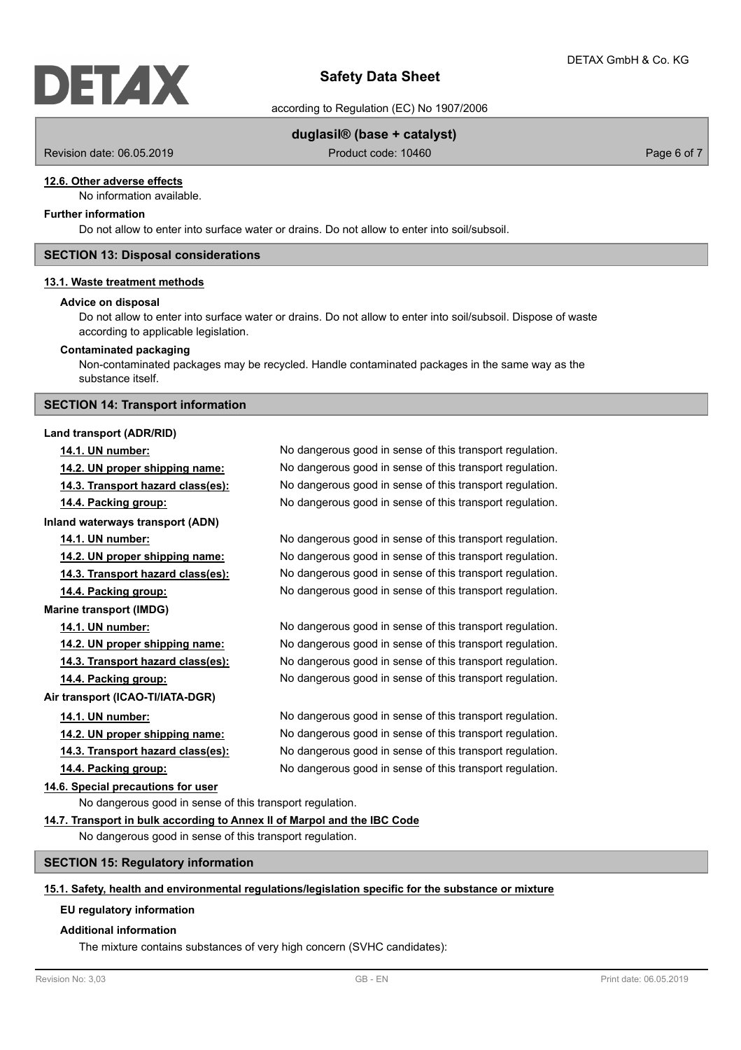

according to Regulation (EC) No 1907/2006

## **duglasil® (base + catalyst)**

Revision date: 06.05.2019 Product code: 10460 Product code: 10460 Page 6 of 7

#### **12.6. Other adverse effects**

No information available.

## **Further information**

Do not allow to enter into surface water or drains. Do not allow to enter into soil/subsoil.

### **SECTION 13: Disposal considerations**

#### **13.1. Waste treatment methods**

#### **Advice on disposal**

Do not allow to enter into surface water or drains. Do not allow to enter into soil/subsoil. Dispose of waste according to applicable legislation.

#### **Contaminated packaging**

Non-contaminated packages may be recycled. Handle contaminated packages in the same way as the substance itself.

#### **SECTION 14: Transport information**

**Inland waterways transport (ADN)**

#### **Land transport (ADR/RID)**

**Marine transport (IMDG)**

**14.1. UN number:** No dangerous good in sense of this transport regulation. **14.2. UN proper shipping name:** No dangerous good in sense of this transport regulation. **14.3. Transport hazard class(es):** No dangerous good in sense of this transport regulation. **14.4. Packing group:** No dangerous good in sense of this transport regulation.

**14.1. UN number:** No dangerous good in sense of this transport regulation. **14.2. UN proper shipping name:** No dangerous good in sense of this transport regulation. **14.3. Transport hazard class(es):** No dangerous good in sense of this transport regulation. **14.4. Packing group:** No dangerous good in sense of this transport regulation.

**14.1. UN number:** No dangerous good in sense of this transport regulation. **14.2. UN proper shipping name:** No dangerous good in sense of this transport regulation. **14.3. Transport hazard class(es):** No dangerous good in sense of this transport regulation. **14.4. Packing group:** No dangerous good in sense of this transport regulation.

**14.1. UN number:** No dangerous good in sense of this transport regulation. **14.2. UN proper shipping name:** No dangerous good in sense of this transport regulation. **14.3. Transport hazard class(es):** No dangerous good in sense of this transport regulation. **14.4. Packing group:** No dangerous good in sense of this transport regulation.

## **14.6. Special precautions for user**

**Air transport (ICAO-TI/IATA-DGR)**

No dangerous good in sense of this transport regulation.

#### **14.7. Transport in bulk according to Annex II of Marpol and the IBC Code**

No dangerous good in sense of this transport regulation.

#### **SECTION 15: Regulatory information**

#### **15.1. Safety, health and environmental regulations/legislation specific for the substance or mixture**

#### **EU regulatory information**

#### **Additional information**

The mixture contains substances of very high concern (SVHC candidates):